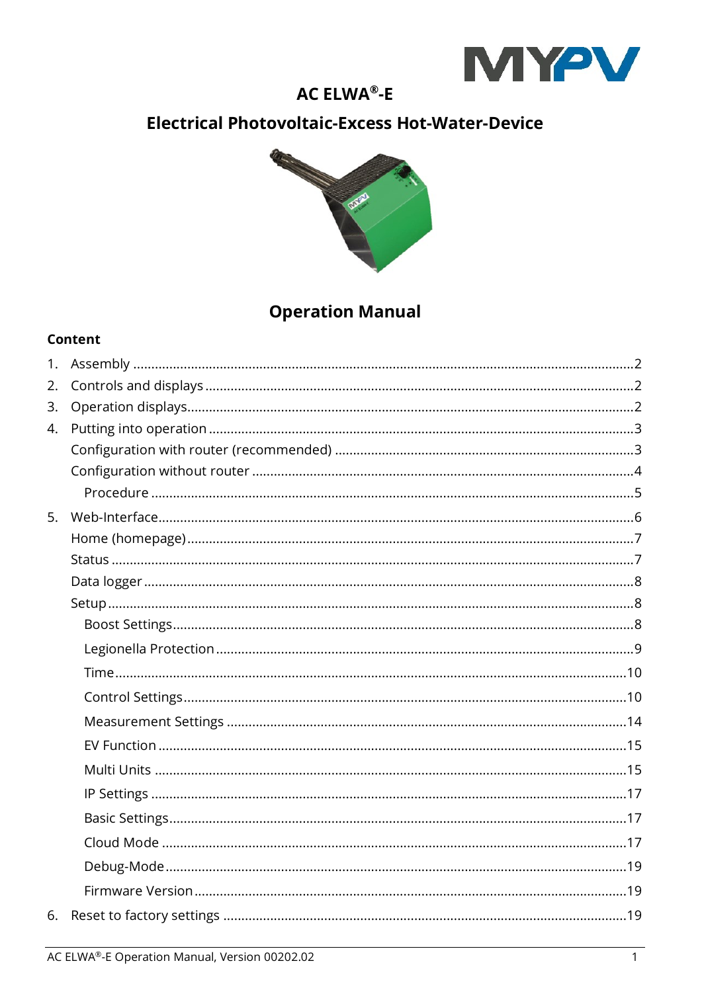

# **AC ELWA®-E**

# **Electrical Photovoltaic-Excess Hot-Water-Device**



# **Operation Manual**

#### Content

| 2. |  |
|----|--|
| 3. |  |
| 4. |  |
|    |  |
|    |  |
|    |  |
| 5. |  |
|    |  |
|    |  |
|    |  |
|    |  |
|    |  |
|    |  |
|    |  |
|    |  |
|    |  |
|    |  |
|    |  |
|    |  |
|    |  |
|    |  |
|    |  |
|    |  |
|    |  |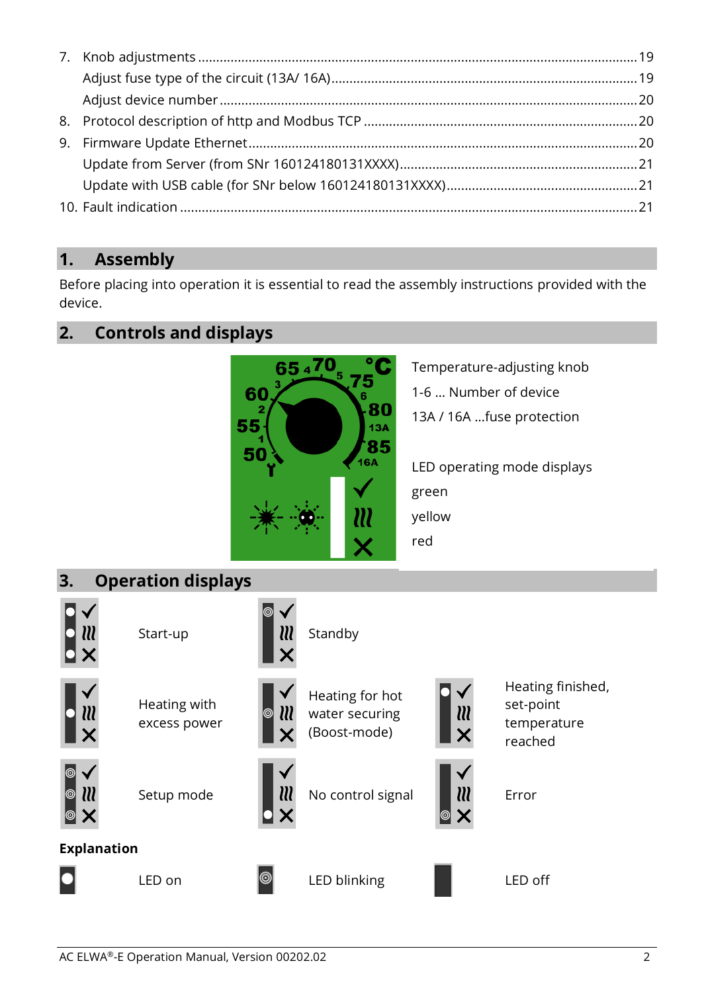## <span id="page-1-0"></span>**1. Assembly**

Before placing into operation it is essential to read the assembly instructions provided with the device.

## <span id="page-1-1"></span>**2. Controls and displays**



Temperature-adjusting knob 1-6 … Number of device 13A / 16A …fuse protection

LED operating mode displays green yellow red

<span id="page-1-2"></span>**3. Operation displays**



Start-up **NN** Standby



Heating with excess power





Heating for hot water securing (Boost-mode)



Heating finished, set-point temperature reached





Setup mode  $\blacksquare$  No control signal  $\blacksquare$   $\blacksquare$  Error





**Explanation**



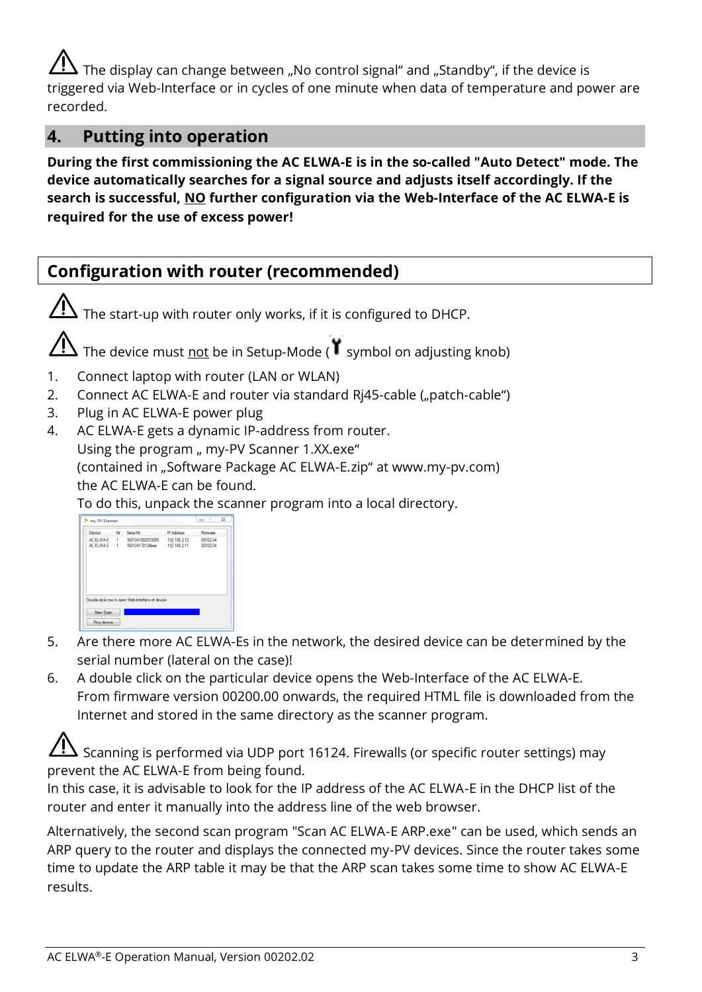The display can change between "No control signal" and "Standby", if the device is triggered via Web-Interface or in cycles of one minute when data of temperature and power are recorded.

#### <span id="page-2-0"></span>**4. Putting into operation**

**During the first commissioning the AC ELWA-E is in the so-called "Auto Detect" mode. The device automatically searches for a signal source and adjusts itself accordingly. If the search is successful, NO further configuration via the Web-Interface of the AC ELWA-E is required for the use of excess power!**

## <span id="page-2-1"></span>**Configuration with router (recommended)**

The start-up with router only works, if it is configured to DHCP. The device must not be in Setup-Mode (<sup> $\blacksquare$ </sup> symbol on adjusting knob) 1. Connect laptop with router (LAN or WLAN) 2. Connect AC ELWA-E and router via standard Rj45-cable ("patch-cable") 3. Plug in AC ELWA-E power plug 4. AC ELWA-E gets a dynamic IP-address from router. Using the program " my-PV Scanner 1.XX.exe" (contained in "Software Package AC ELWA-E.zip" at www.my-pv.com) the AC ELWA-E can be found. To do this, unpack the scanner program into a local directory. **The me-PV Scanner** 

| AC FLWA-F<br>1. |                  |              |                                                  |
|-----------------|------------------|--------------|--------------------------------------------------|
|                 | 1931241802010005 | 192.168.2.12 | 00102.04                                         |
|                 | 160124170124test | 192.168.2.11 | 00102.04                                         |
|                 |                  |              |                                                  |
|                 |                  |              |                                                  |
|                 |                  |              |                                                  |
|                 |                  |              |                                                  |
|                 |                  |              |                                                  |
|                 |                  |              |                                                  |
|                 |                  |              |                                                  |
|                 |                  |              |                                                  |
|                 |                  | AC ELWA-E 1  | Double-click row to open Web-Interface of device |

- 5. Are there more AC ELWA-Es in the network, the desired device can be determined by the serial number (lateral on the case)!
- 6. A double click on the particular device opens the Web-Interface of the AC ELWA-E. From firmware version 00200.00 onwards, the required HTML file is downloaded from the Internet and stored in the same directory as the scanner program.

Scanning is performed via UDP port 16124. Firewalls (or specific router settings) may prevent the AC ELWA-E from being found.

In this case, it is advisable to look for the IP address of the AC ELWA-E in the DHCP list of the router and enter it manually into the address line of the web browser.

Alternatively, the second scan program "Scan AC ELWA-E ARP.exe" can be used, which sends an ARP query to the router and displays the connected my-PV devices. Since the router takes some time to update the ARP table it may be that the ARP scan takes some time to show AC ELWA-E results.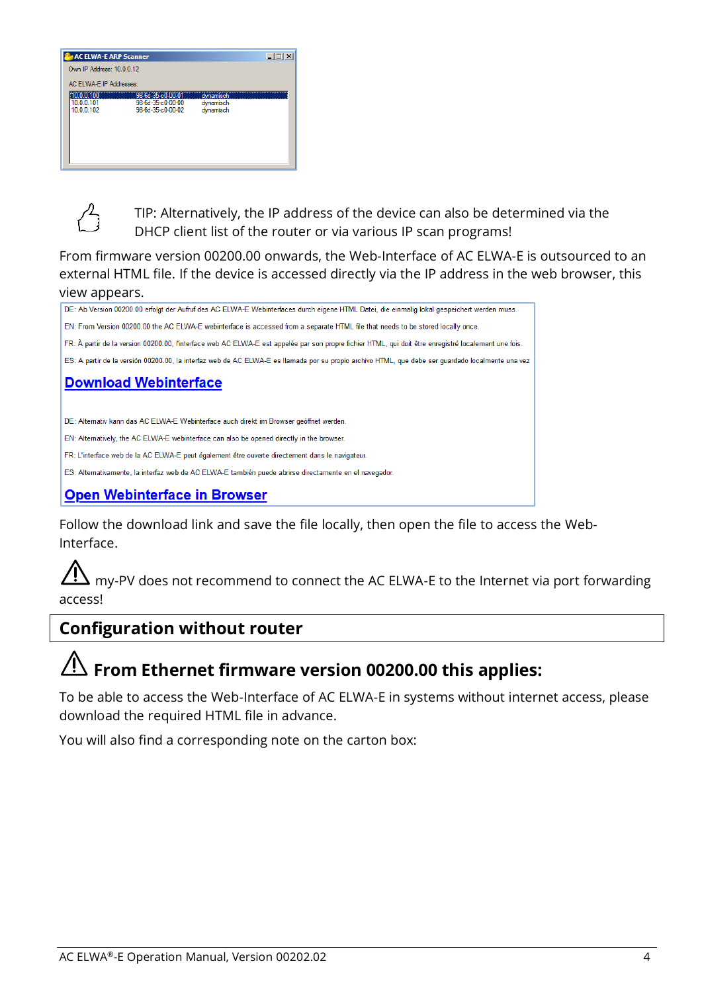| <b>AC ELWA-E ARP Scanner</b>       |                                                             |                                     | $ \Box$ $\times$ |
|------------------------------------|-------------------------------------------------------------|-------------------------------------|------------------|
| Own IP Address: 10.0.0.12          |                                                             |                                     |                  |
| AC ELWA-E IP Addresses:            |                                                             |                                     |                  |
| 0.0.0.100<br>10.0.0.101<br>1000102 | 98-6d-35 c0-00-01<br>98-6d-35-c0-00-00<br>98-64-35-c0-00-02 | dynamisch<br>dynamisch<br>dynamisch |                  |
|                                    |                                                             |                                     |                  |



TIP: Alternatively, the IP address of the device can also be determined via the DHCP client list of the router or via various IP scan programs!

From firmware version 00200.00 onwards, the Web-Interface of AC ELWA-E is outsourced to an external HTML file. If the device is accessed directly via the IP address in the web browser, this view appears.



Follow the download link and save the file locally, then open the file to access the Web-Interface.

my-PV does not recommend to connect the AC ELWA-E to the Internet via port forwarding access!

## <span id="page-3-0"></span>**Configuration without router**

# **From Ethernet firmware version 00200.00 this applies:**

To be able to access the Web-Interface of AC ELWA-E in systems without internet access, please download the required HTML file in advance.

You will also find a corresponding note on the carton box: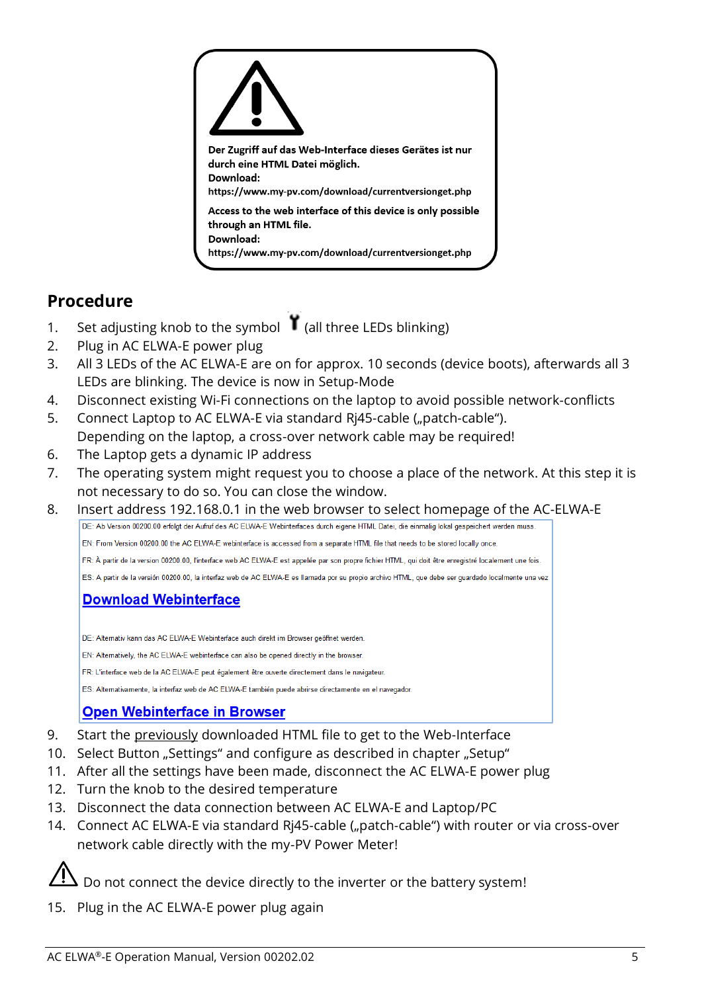

## <span id="page-4-0"></span>**Procedure**

- 1. Set adjusting knob to the symbol (all three LEDs blinking)
- 2. Plug in AC ELWA-E power plug
- 3. All 3 LEDs of the AC ELWA-E are on for approx. 10 seconds (device boots), afterwards all 3 LEDs are blinking. The device is now in Setup-Mode
- 4. Disconnect existing Wi-Fi connections on the laptop to avoid possible network-conflicts
- 5. Connect Laptop to AC ELWA-E via standard Ri45-cable ("patch-cable"). Depending on the laptop, a cross-over network cable may be required!
- 6. The Laptop gets a dynamic IP address
- 7. The operating system might request you to choose a place of the network. At this step it is not necessary to do so. You can close the window.
- 8. Insert address 192.168.0.1 in the web browser to select homepage of the AC-ELWA-E<br>DE: Ab Version 00200.00 erfoldt der Aufur des AC ELWA-E Webinterfaces durch eigene HTML Datei, die einmalig lokal gespeichet werden muss.

EN: From Version 00200.00 the AC ELWA-E webinterface is accessed from a separate HTML file that needs to be stored locally once.

FR: À partir de la version 00200.00. l'interface web AC ELWA-E est appelée par son propre fichier HTML, qui doit être enregistré localement une fois.

ES: A partir de la versión 00200.00, la interfaz web de AC ELWA-E es llamada por su propio archivo HTML, que debe ser quardado localmente una vez

#### **Download Webinterface**

DE: Alternativ kann das AC ELWA-E Webinterface auch direkt im Browser geöffnet werden

EN: Alternatively, the AC ELWA-E webinterface can also be opened directly in the browser

FR: L'interface web de la AC ELWA-E peut également être ouverte directement dans le navigateur.

ES: Alternativamente, la interfaz web de AC ELWA-E también puede abrirse directamente en el navegador.

#### **Open Webinterface in Browser**

- 9. Start the previously downloaded HTML file to get to the Web-Interface
- 10. Select Button "Settings" and configure as described in chapter "Setup"
- 11. After all the settings have been made, disconnect the AC ELWA-E power plug
- 12. Turn the knob to the desired temperature
- 13. Disconnect the data connection between AC ELWA-E and Laptop/PC
- 14. Connect AC ELWA-E via standard Rj45-cable ("patch-cable") with router or via cross-over network cable directly with the my-PV Power Meter!

 $\Delta$  Do not connect the device directly to the inverter or the battery system!

15. Plug in the AC ELWA-E power plug again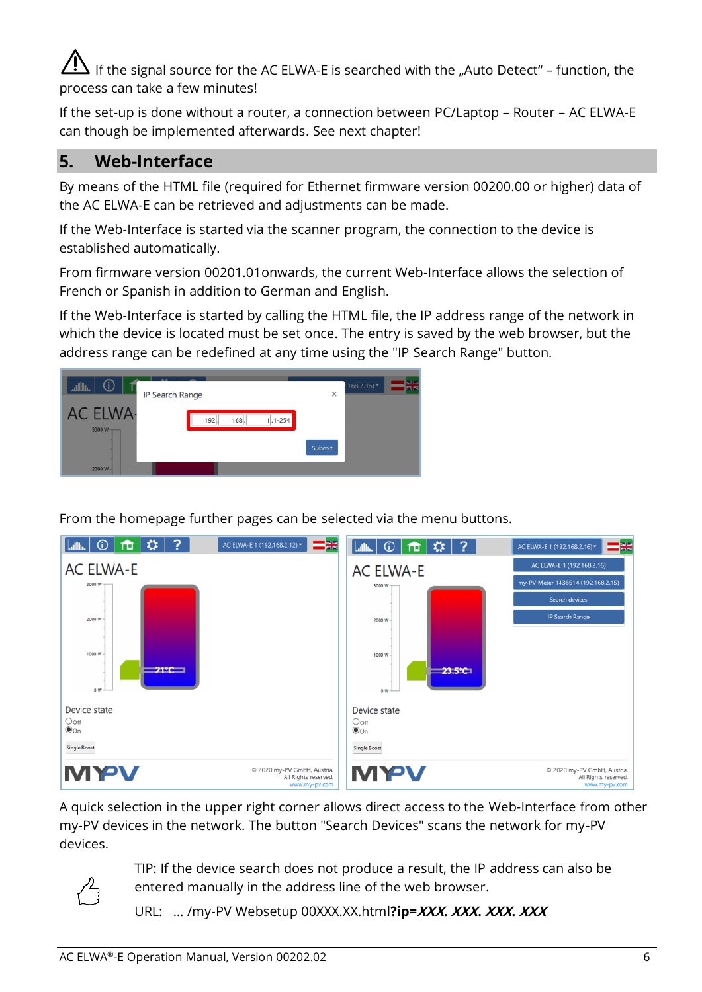If the signal source for the AC ELWA-E is searched with the "Auto Detect" – function, the process can take a few minutes!

If the set-up is done without a router, a connection between PC/Laptop – Router – AC ELWA-E can though be implemented afterwards. See next chapter!

### <span id="page-5-0"></span>**5. Web-Interface**

By means of the HTML file (required for Ethernet firmware version 00200.00 or higher) data of the AC ELWA-E can be retrieved and adjustments can be made.

If the Web-Interface is started via the scanner program, the connection to the device is established automatically.

From firmware version 00201.01onwards, the current Web-Interface allows the selection of French or Spanish in addition to German and English.

If the Web-Interface is started by calling the HTML file, the IP address range of the network in which the device is located must be set once. The entry is saved by the web browser, but the address range can be redefined at any time using the "IP Search Range" button.



From the homepage further pages can be selected via the menu buttons.



A quick selection in the upper right corner allows direct access to the Web-Interface from other my-PV devices in the network. The button "Search Devices" scans the network for my-PV devices.



TIP: If the device search does not produce a result, the IP address can also be entered manually in the address line of the web browser.

URL: … /my-PV Websetup 00XXX.XX.html**?ip=XXX. XXX. XXX. XXX**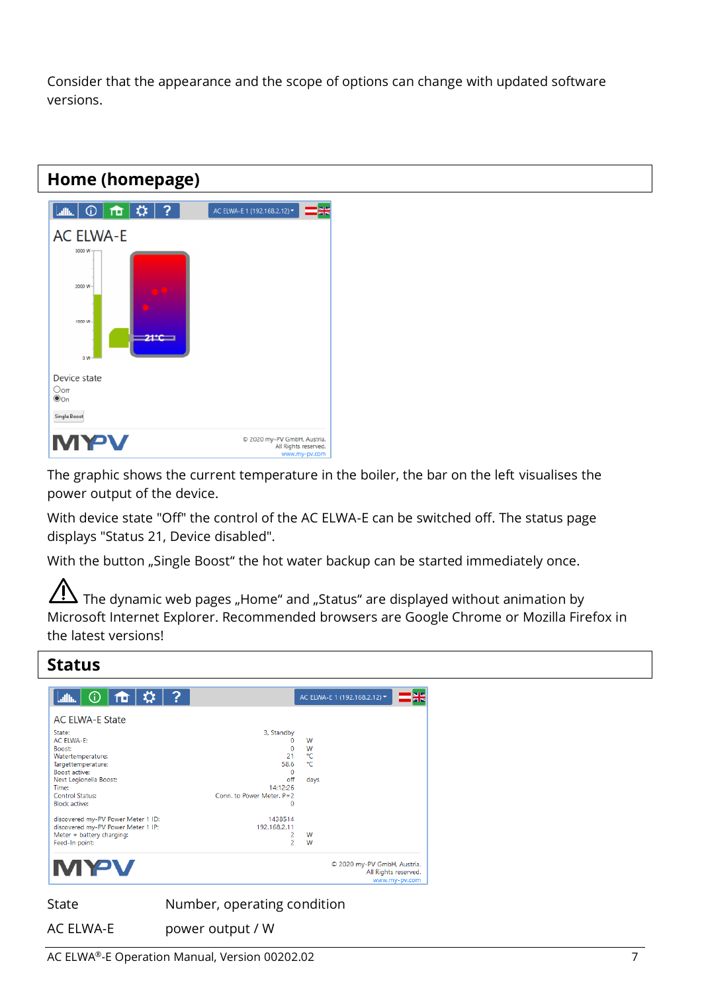Consider that the appearance and the scope of options can change with updated software versions.

## <span id="page-6-0"></span>**Home (homepage)**



The graphic shows the current temperature in the boiler, the bar on the left visualises the power output of the device.

With device state "Off" the control of the AC ELWA-E can be switched off. The status page displays "Status 21, Device disabled".

With the button "Single Boost" the hot water backup can be started immediately once.

The dynamic web pages "Home" and "Status" are displayed without animation by Microsoft Internet Explorer. Recommended browsers are Google Chrome or Mozilla Firefox in the latest versions!

<span id="page-6-1"></span>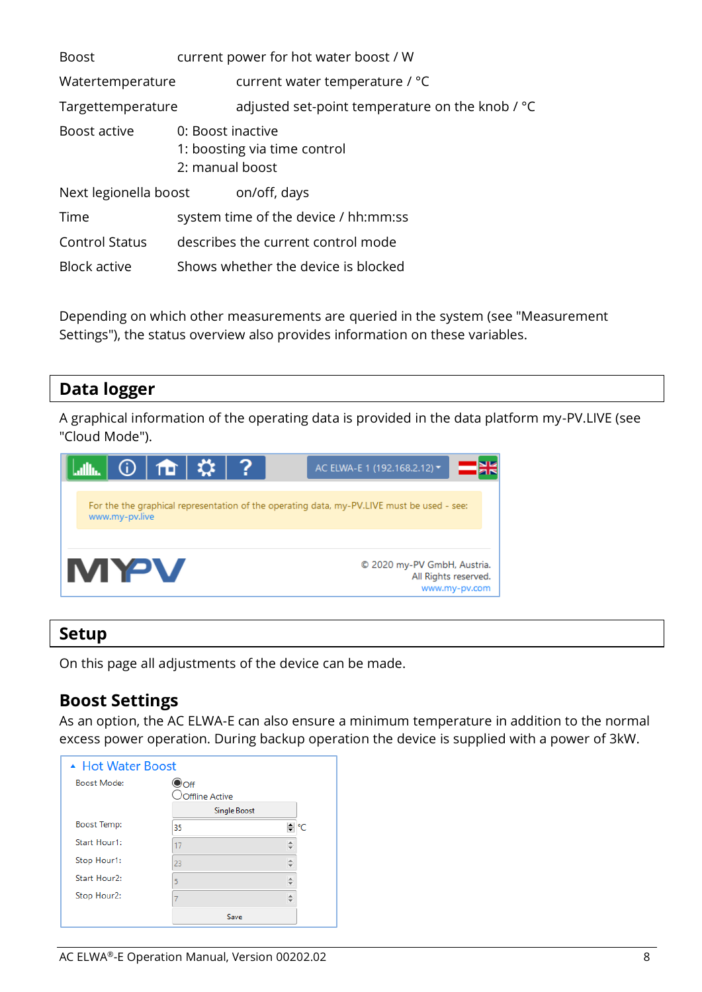| <b>Boost</b>          |                                      | current power for hot water boost / W           |
|-----------------------|--------------------------------------|-------------------------------------------------|
| Watertemperature      |                                      | current water temperature / °C                  |
| Targettemperature     |                                      | adjusted set-point temperature on the knob / °C |
| Boost active          | 0: Boost inactive<br>2: manual boost | 1: boosting via time control                    |
| Next legionella boost |                                      | on/off, days                                    |
| Time                  |                                      | system time of the device / hh:mm:ss            |
| <b>Control Status</b> |                                      | describes the current control mode              |
| Block active          |                                      | Shows whether the device is blocked             |

Depending on which other measurements are queried in the system (see "Measurement Settings"), the status overview also provides information on these variables.

## <span id="page-7-0"></span>**Data logger**

A graphical information of the operating data is provided in the data platform my-PV.LIVE (see "Cloud Mode").



#### <span id="page-7-1"></span>**Setup**

On this page all adjustments of the device can be made.

#### <span id="page-7-2"></span>**Boost Settings**

As an option, the AC ELWA-E can also ensure a minimum temperature in addition to the normal excess power operation. During backup operation the device is supplied with a power of 3kW.

| ▲ Hot Water Boost  |                        |  |
|--------------------|------------------------|--|
| <b>Boost Mode:</b> | Doff<br>Offline Active |  |
|                    | <b>Single Boost</b>    |  |
| <b>Boost Temp:</b> | 35                     |  |
| Start Hour1:       | 17                     |  |
| Stop Hour1:        | 23                     |  |
| Start Hour2:       | 5                      |  |
| Stop Hour2:        |                        |  |
|                    | Save                   |  |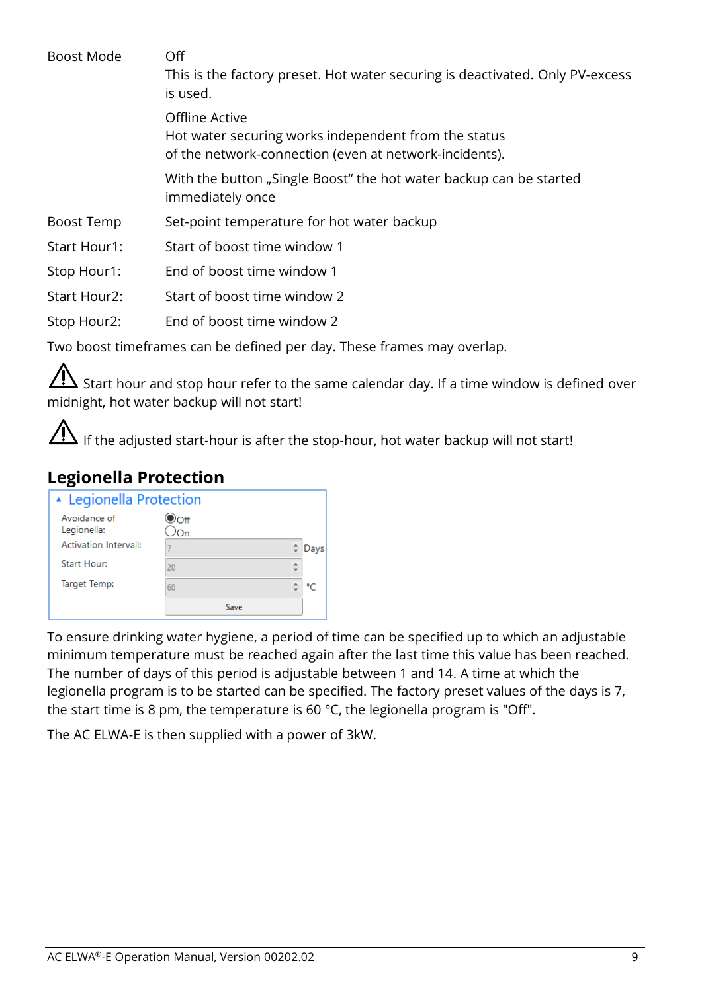Boost Mode Off

This is the factory preset. Hot water securing is deactivated. Only PV-excess is used.

Offline Active Hot water securing works independent from the status of the network-connection (even at network-incidents).

With the button "Single Boost" the hot water backup can be started immediately once

- Boost Temp Set-point temperature for hot water backup
- Start Hour1: Start of boost time window 1
- Stop Hour1: End of boost time window 1
- Start Hour2: Start of boost time window 2

Stop Hour2: End of boost time window 2

Two boost timeframes can be defined per day. These frames may overlap.

Start hour and stop hour refer to the same calendar day. If a time window is defined over midnight, hot water backup will not start!

If the adjusted start-hour is after the stop-hour, hot water backup will not start!

# <span id="page-8-0"></span>**Legionella Protection**

| ▲ Legionella Protection      |             |      |
|------------------------------|-------------|------|
| Avoidance of<br>Legionella:  | $\odot$ off |      |
| <b>Activation Intervall:</b> | 7           | Days |
| <b>Start Hour:</b>           | 20          |      |
| Target Temp:                 | 60          | ∘∩   |
|                              | Save        |      |

To ensure drinking water hygiene, a period of time can be specified up to which an adjustable minimum temperature must be reached again after the last time this value has been reached. The number of days of this period is adjustable between 1 and 14. A time at which the legionella program is to be started can be specified. The factory preset values of the days is 7, the start time is 8 pm, the temperature is 60 °C, the legionella program is "Off".

The AC ELWA-E is then supplied with a power of 3kW.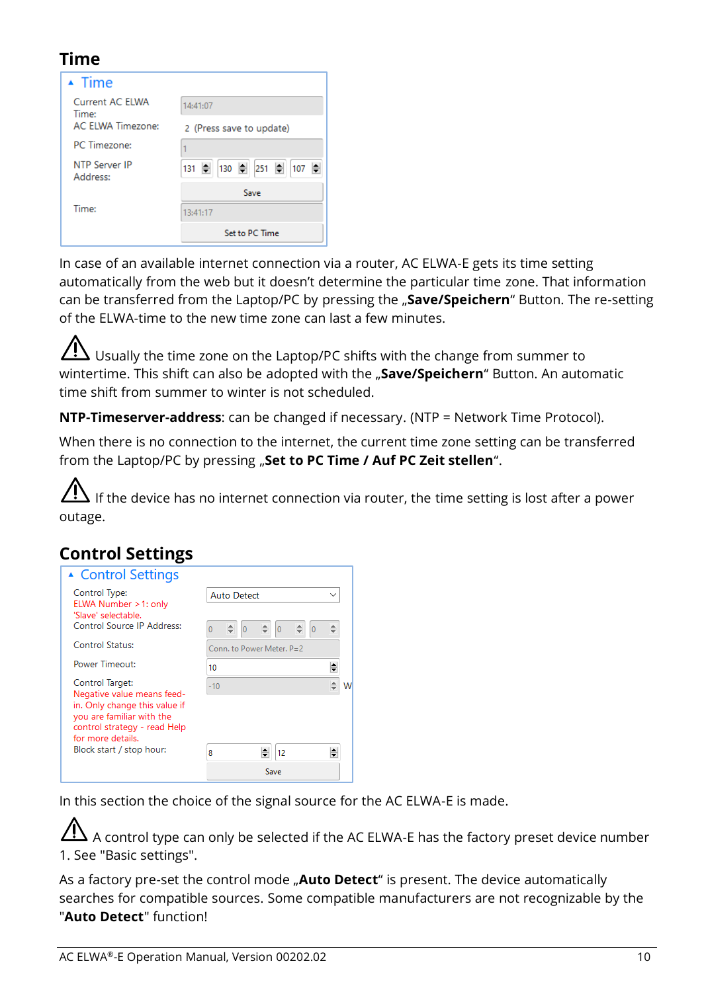## <span id="page-9-0"></span>**Time**

| $\triangle$ Time          |                          |
|---------------------------|--------------------------|
| Current AC FIWA<br>Time:  | 14:41:07                 |
| <b>AC ELWA Timezone:</b>  | 2 (Press save to update) |
| PC Timezone:              |                          |
| NTP Server IP<br>Address: | 131 후 130 후 251 후 107 후  |
|                           | Save                     |
| Time:                     | 13:41:17                 |
|                           | Set to PC Time           |

In case of an available internet connection via a router, AC ELWA-E gets its time setting automatically from the web but it doesn't determine the particular time zone. That information can be transferred from the Laptop/PC by pressing the "Save/Speichern" Button. The re-setting of the ELWA-time to the new time zone can last a few minutes.

 $\overline{\Delta}$  Usually the time zone on the Laptop/PC shifts with the change from summer to wintertime. This shift can also be adopted with the "**Save/Speichern**" Button. An automatic time shift from summer to winter is not scheduled.

**NTP-Timeserver-address**: can be changed if necessary. (NTP = Network Time Protocol).

When there is no connection to the internet, the current time zone setting can be transferred from the Laptop/PC by pressing "**Set to PC Time / Auf PC Zeit stellen**".

 $\overline{\Delta}$  If the device has no internet connection via router, the time setting is lost after a power outage.

## <span id="page-9-1"></span>**Control Settings**

| ▲ Control Settings                                                                                                                                               |                                                           |  |
|------------------------------------------------------------------------------------------------------------------------------------------------------------------|-----------------------------------------------------------|--|
| Control Type:<br>ELWA Number > 1: only<br>'Slave' selectable.                                                                                                    | <b>Auto Detect</b>                                        |  |
| Control Source IP Address:                                                                                                                                       | $\overline{0}$<br> 0 <br>$\overline{0}$<br>$\overline{0}$ |  |
| <b>Control Status:</b>                                                                                                                                           | Conn. to Power Meter, P=2                                 |  |
| Power Timeout:                                                                                                                                                   | 10                                                        |  |
| Control Target:<br>Negative value means feed-<br>in. Only change this value if<br>you are familiar with the<br>control strategy - read Help<br>for more details. | $-10$                                                     |  |
| Block start / stop hour:                                                                                                                                         | 12<br>8                                                   |  |
|                                                                                                                                                                  | Save                                                      |  |

In this section the choice of the signal source for the AC ELWA-E is made.

 $\overline{\Delta}$  A control type can only be selected if the AC ELWA-E has the factory preset device number 1. See "Basic settings".

As a factory pre-set the control mode "**Auto Detect**" is present. The device automatically searches for compatible sources. Some compatible manufacturers are not recognizable by the "**Auto Detect**" function!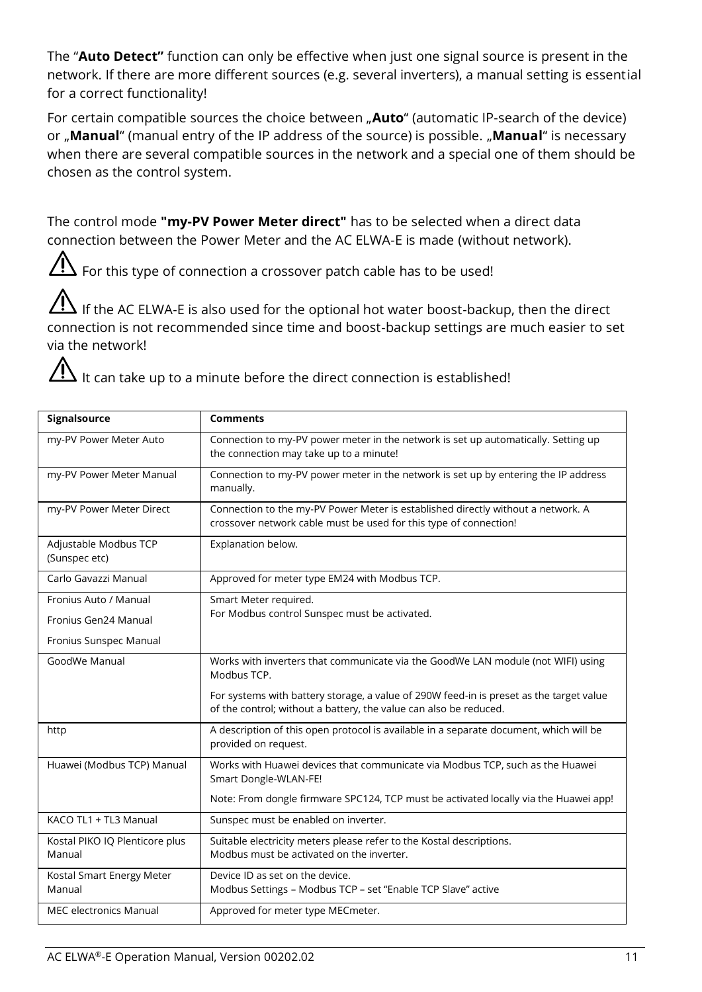The "**Auto Detect"** function can only be effective when just one signal source is present in the network. If there are more different sources (e.g. several inverters), a manual setting is essential for a correct functionality!

For certain compatible sources the choice between "**Auto**" (automatic IP-search of the device) or "**Manual**" (manual entry of the IP address of the source) is possible. "**Manual**" is necessary when there are several compatible sources in the network and a special one of them should be chosen as the control system.

The control mode **"my-PV Power Meter direct"** has to be selected when a direct data connection between the Power Meter and the AC ELWA-E is made (without network).

 $\overline{\Delta}$  For this type of connection a crossover patch cable has to be used!

If the AC ELWA-E is also used for the optional hot water boost-backup, then the direct connection is not recommended since time and boost-backup settings are much easier to set via the network!

 $\mathcal{I}!$  It can take up to a minute before the direct connection is established!

| Signalsource                             | <b>Comments</b>                                                                                                                                              |
|------------------------------------------|--------------------------------------------------------------------------------------------------------------------------------------------------------------|
| my-PV Power Meter Auto                   | Connection to my-PV power meter in the network is set up automatically. Setting up<br>the connection may take up to a minute!                                |
| my-PV Power Meter Manual                 | Connection to my-PV power meter in the network is set up by entering the IP address<br>manually.                                                             |
| my-PV Power Meter Direct                 | Connection to the my-PV Power Meter is established directly without a network. A<br>crossover network cable must be used for this type of connection!        |
| Adjustable Modbus TCP<br>(Sunspec etc)   | Explanation below.                                                                                                                                           |
| Carlo Gavazzi Manual                     | Approved for meter type EM24 with Modbus TCP.                                                                                                                |
| Fronius Auto / Manual                    | Smart Meter required.                                                                                                                                        |
| Fronius Gen24 Manual                     | For Modbus control Sunspec must be activated.                                                                                                                |
| Fronius Sunspec Manual                   |                                                                                                                                                              |
| GoodWe Manual                            | Works with inverters that communicate via the GoodWe LAN module (not WIFI) using<br>Modbus TCP.                                                              |
|                                          | For systems with battery storage, a value of 290W feed-in is preset as the target value<br>of the control; without a battery, the value can also be reduced. |
| http                                     | A description of this open protocol is available in a separate document, which will be<br>provided on request.                                               |
| Huawei (Modbus TCP) Manual               | Works with Huawei devices that communicate via Modbus TCP, such as the Huawei<br>Smart Dongle-WLAN-FE!                                                       |
|                                          | Note: From dongle firmware SPC124, TCP must be activated locally via the Huawei app!                                                                         |
| KACO TL1 + TL3 Manual                    | Sunspec must be enabled on inverter.                                                                                                                         |
| Kostal PIKO IQ Plenticore plus<br>Manual | Suitable electricity meters please refer to the Kostal descriptions.<br>Modbus must be activated on the inverter.                                            |
| Kostal Smart Energy Meter<br>Manual      | Device ID as set on the device.<br>Modbus Settings - Modbus TCP - set "Enable TCP Slave" active                                                              |
| MEC electronics Manual                   | Approved for meter type MECmeter.                                                                                                                            |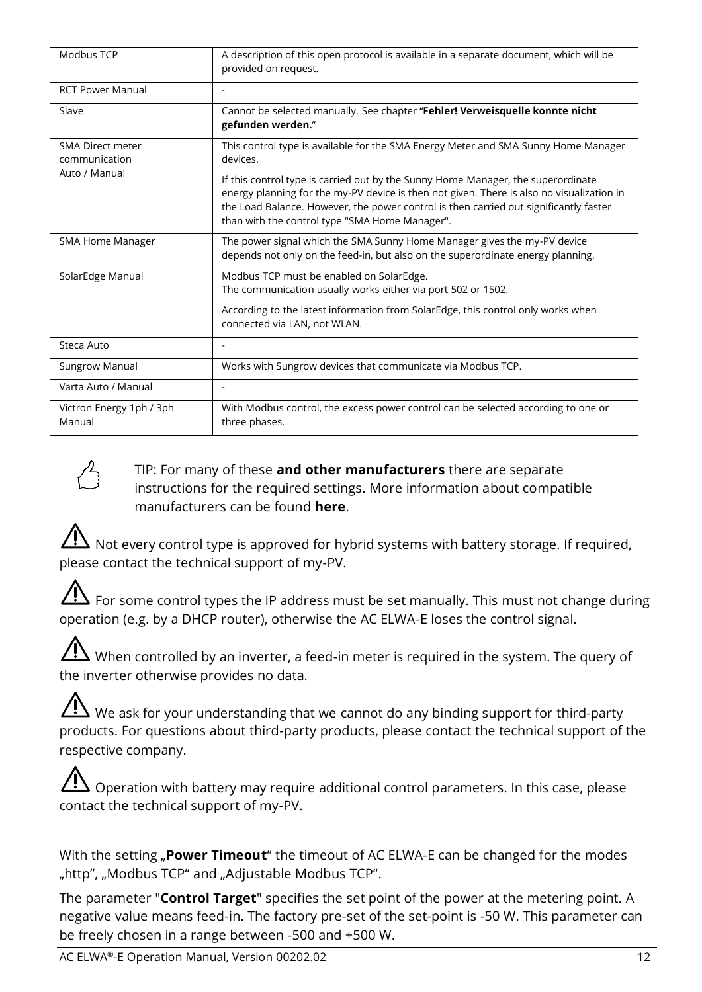| Modbus TCP                         | A description of this open protocol is available in a separate document, which will be<br>provided on request.                                                                                                                                                                                                           |
|------------------------------------|--------------------------------------------------------------------------------------------------------------------------------------------------------------------------------------------------------------------------------------------------------------------------------------------------------------------------|
| <b>RCT Power Manual</b>            |                                                                                                                                                                                                                                                                                                                          |
| Slave                              | Cannot be selected manually. See chapter "Fehler! Verweisquelle konnte nicht<br>gefunden werden."                                                                                                                                                                                                                        |
| SMA Direct meter<br>communication  | This control type is available for the SMA Energy Meter and SMA Sunny Home Manager<br>devices.                                                                                                                                                                                                                           |
| Auto / Manual                      | If this control type is carried out by the Sunny Home Manager, the superordinate<br>energy planning for the my-PV device is then not given. There is also no visualization in<br>the Load Balance. However, the power control is then carried out significantly faster<br>than with the control type "SMA Home Manager". |
| <b>SMA Home Manager</b>            | The power signal which the SMA Sunny Home Manager gives the my-PV device<br>depends not only on the feed-in, but also on the superordinate energy planning.                                                                                                                                                              |
| SolarEdge Manual                   | Modbus TCP must be enabled on SolarEdge.<br>The communication usually works either via port 502 or 1502.                                                                                                                                                                                                                 |
|                                    | According to the latest information from SolarEdge, this control only works when<br>connected via LAN, not WLAN.                                                                                                                                                                                                         |
| Steca Auto                         |                                                                                                                                                                                                                                                                                                                          |
| Sungrow Manual                     | Works with Sungrow devices that communicate via Modbus TCP.                                                                                                                                                                                                                                                              |
| Varta Auto / Manual                | ٠                                                                                                                                                                                                                                                                                                                        |
| Victron Energy 1ph / 3ph<br>Manual | With Modbus control, the excess power control can be selected according to one or<br>three phases.                                                                                                                                                                                                                       |



#### TIP: For many of these **and other manufacturers** there are separate instructions for the required settings. More information about compatible manufacturers can be found **[here](https://www.my-pv.com/en/info/compatible-manufacturers)**.

 $'$  Not every control type is approved for hybrid systems with battery storage. If required, please contact the technical support of my-PV.

For some control types the IP address must be set manually. This must not change during operation (e.g. by a DHCP router), otherwise the AC ELWA-E loses the control signal.

 $\overline{\Delta}$  When controlled by an inverter, a feed-in meter is required in the system. The query of the inverter otherwise provides no data.

 $\bigwedge$  We ask for your understanding that we cannot do any binding support for third-party products. For questions about third-party products, please contact the technical support of the respective company.

 $\Delta$  Operation with battery may require additional control parameters. In this case, please contact the technical support of my-PV.

With the setting "**Power Timeout**" the timeout of AC ELWA-E can be changed for the modes "http", "Modbus TCP" and "Adjustable Modbus TCP".

The parameter "**Control Target**" specifies the set point of the power at the metering point. A negative value means feed-in. The factory pre-set of the set-point is -50 W. This parameter can be freely chosen in a range between -500 and +500 W.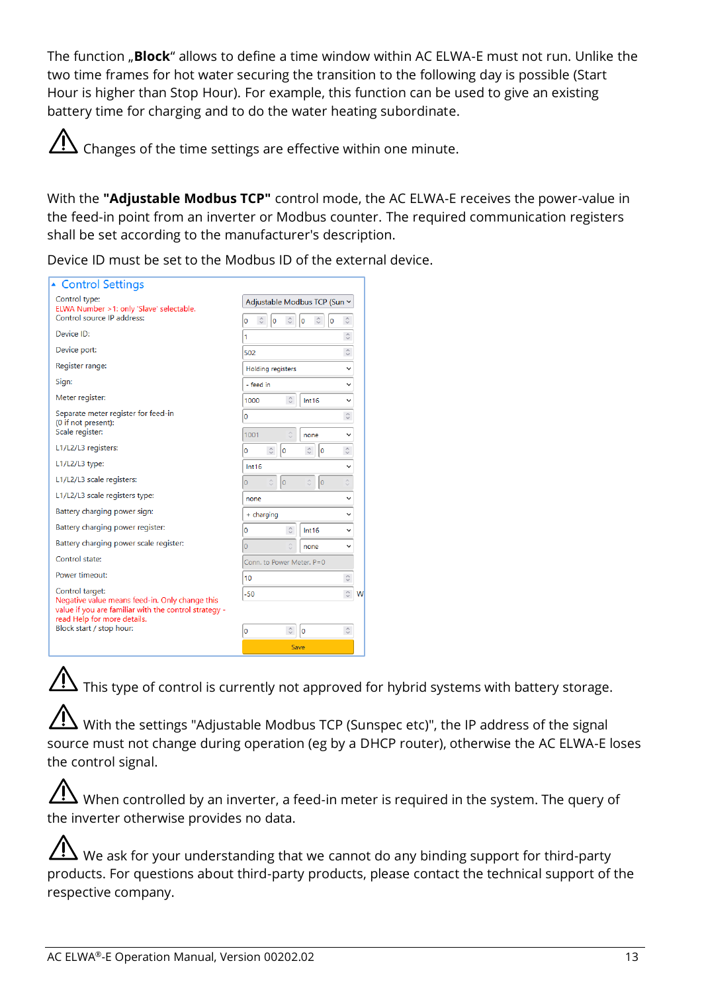The function "**Block**" allows to define a time window within AC ELWA-E must not run. Unlike the two time frames for hot water securing the transition to the following day is possible (Start Hour is higher than Stop Hour). For example, this function can be used to give an existing battery time for charging and to do the water heating subordinate.



With the **"Adjustable Modbus TCP"** control mode, the AC ELWA-E receives the power-value in the feed-in point from an inverter or Modbus counter. The required communication registers shall be set according to the manufacturer's description.

Device ID must be set to the Modbus ID of the external device.

| ▲ Control Settings                                                                                                                                        |                                                                              |   |
|-----------------------------------------------------------------------------------------------------------------------------------------------------------|------------------------------------------------------------------------------|---|
| Control type:<br>ELWA Number > 1: only 'Slave' selectable.<br>Control source IP address:                                                                  | Adjustable Modbus TCP (Sun v<br>$\hat{C}$                                    |   |
| Device ID:                                                                                                                                                | $\hat{\mathbin{\circ}}$<br>o<br>Ō<br>0<br>0<br>$\hat{\cdot}$<br>1            |   |
| Device port:                                                                                                                                              | $\hat{\cdot}$<br>502                                                         |   |
| Register range:                                                                                                                                           | <b>Holding registers</b><br>$\checkmark$                                     |   |
| Sign:                                                                                                                                                     | - feed in<br>$\checkmark$                                                    |   |
| Meter register:                                                                                                                                           | $\hat{\cdot}$<br>Int16<br>1000<br>$\checkmark$                               |   |
| Separate meter register for feed-in<br>(0 if not present):                                                                                                | $\hat{\cdot}$<br>$\mathbf 0$                                                 |   |
| Scale register:                                                                                                                                           | ó<br>1001<br>none<br>$\checkmark$                                            |   |
| L1/L2/L3 registers:                                                                                                                                       | $\hat{\cdot}$<br>$\hat{\cdot}$<br>$\hat{\mathcal{C}}$<br>$\circ$<br>lo<br>lo |   |
| L1/L2/L3 type:                                                                                                                                            | Int16<br>$\checkmark$                                                        |   |
| L1/L2/L3 scale registers:                                                                                                                                 | $\hat{\cdot}$<br>$\hat{\cdot}$<br>$\hat{C}$<br>lo<br>$\overline{0}$<br>lo    |   |
| L1/L2/L3 scale registers type:                                                                                                                            | $\checkmark$<br>none                                                         |   |
| Battery charging power sign:                                                                                                                              | + charging<br>$\checkmark$                                                   |   |
| Battery charging power register:                                                                                                                          | $\hat{\cdot}$<br>$\bullet$<br>Int16<br>$\check{ }$                           |   |
| Battery charging power scale register:                                                                                                                    | $\hat{\cdot}$<br>$\overline{0}$<br>$\checkmark$<br>none                      |   |
| Control state:                                                                                                                                            | Conn. to Power Meter, P=0                                                    |   |
| Power timeout:                                                                                                                                            | $\hat{\cdot}$<br>10                                                          |   |
| Control target:<br>Negative value means feed-in. Only change this<br>value if you are familiar with the control strategy -<br>read Help for more details. | $\hat{\mathbin{\hspace{1pt}\circ}}$<br>$-50$                                 | N |
| Block start / stop hour:                                                                                                                                  | $\hat{\cdot}$<br>$\hat{\cdot}$<br>lo<br>$\circ$                              |   |
|                                                                                                                                                           | Save                                                                         |   |

 $\bigwedge$  This type of control is currently not approved for hybrid systems with battery storage.

With the settings "Adjustable Modbus TCP (Sunspec etc)", the IP address of the signal source must not change during operation (eg by a DHCP router), otherwise the AC ELWA-E loses the control signal.

 $\Delta$  When controlled by an inverter, a feed-in meter is required in the system. The query of the inverter otherwise provides no data.

We ask for your understanding that we cannot do any binding support for third-party products. For questions about third-party products, please contact the technical support of the respective company.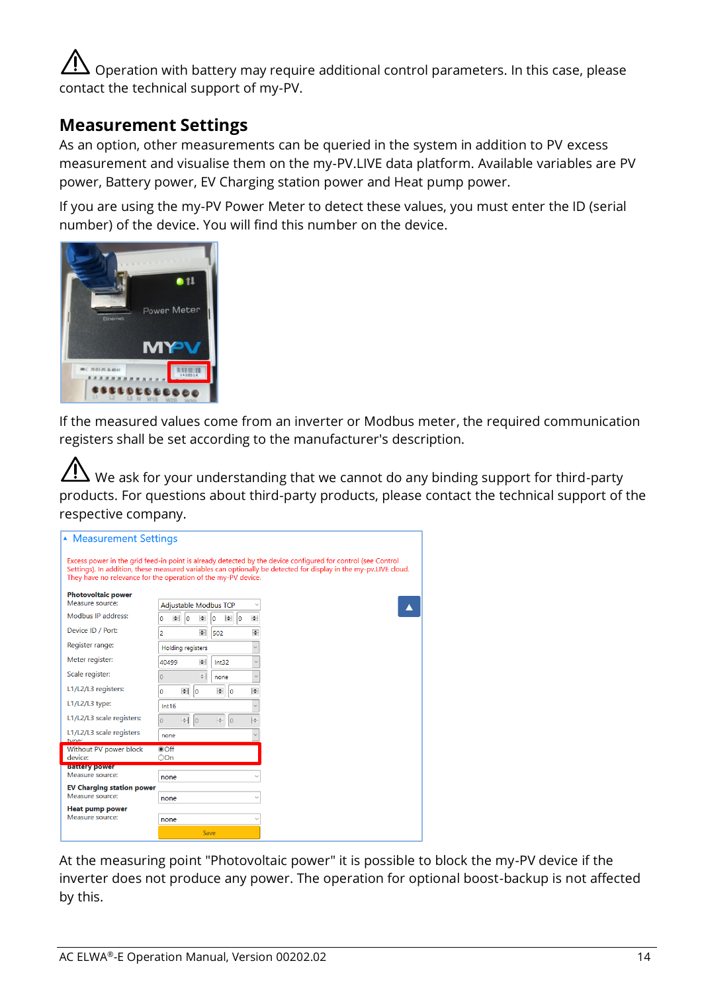Operation with battery may require additional control parameters. In this case, please contact the technical support of my-PV.

#### <span id="page-13-0"></span>**Measurement Settings**

As an option, other measurements can be queried in the system in addition to PV excess measurement and visualise them on the my-PV.LIVE data platform. Available variables are PV power, Battery power, EV Charging station power and Heat pump power.

If you are using the my-PV Power Meter to detect these values, you must enter the ID (serial number) of the device. You will find this number on the device.



If the measured values come from an inverter or Modbus meter, the required communication registers shall be set according to the manufacturer's description.

 $\Delta$  We ask for your understanding that we cannot do any binding support for third-party products. For questions about third-party products, please contact the technical support of the respective company.

| <b>Measurement Settings</b>                                                                                                                                                                                                                                                                       |                |                          |                              |               |
|---------------------------------------------------------------------------------------------------------------------------------------------------------------------------------------------------------------------------------------------------------------------------------------------------|----------------|--------------------------|------------------------------|---------------|
| Excess power in the grid feed-in point is already detected by the device configured for control (see Control<br>Settings). In addition, these measured variables can optionally be detected for display in the my-pv.LIVE cloud.<br>They have no relevance for the operation of the my-PV device. |                |                          |                              |               |
| <b>Photovoltaic power</b>                                                                                                                                                                                                                                                                         |                |                          |                              |               |
| Measure source:                                                                                                                                                                                                                                                                                   |                |                          | <b>Adjustable Modbus TCP</b> |               |
| Modbus IP address:                                                                                                                                                                                                                                                                                | $\bullet$<br>٥ | $\overline{0}$<br>le.    | $\bullet$ 0<br>۱o            | $\frac{1}{2}$ |
| Device ID / Port:                                                                                                                                                                                                                                                                                 | 2              | $\div$                   | 502                          | ÷             |
| Register range:                                                                                                                                                                                                                                                                                   |                | <b>Holding registers</b> |                              |               |
| Meter register:                                                                                                                                                                                                                                                                                   | 40499          | $\rightarrow$            | Int32                        |               |
| Scale register:                                                                                                                                                                                                                                                                                   | $\circ$        | ÷.                       | none                         |               |
| L1/L2/L3 registers:                                                                                                                                                                                                                                                                               | o              | $\bullet$<br>$ 0\rangle$ | ÷<br>lo                      | H             |
| L1/L2/L3 type:                                                                                                                                                                                                                                                                                    | Int16          |                          |                              |               |
| L1/L2/L3 scale registers:                                                                                                                                                                                                                                                                         | $\overline{0}$ | $-1$ 0                   | le-<br>lo                    | lф            |
| L1/L2/L3 scale registers<br>tuno                                                                                                                                                                                                                                                                  | none           |                          |                              |               |
| Without PV power block                                                                                                                                                                                                                                                                            | $\odot$ Off    |                          |                              |               |
| device:<br><b>Battery power</b>                                                                                                                                                                                                                                                                   | OOn            |                          |                              |               |
| Measure source:                                                                                                                                                                                                                                                                                   | none           |                          |                              |               |
| <b>EV Charging station power</b>                                                                                                                                                                                                                                                                  |                |                          |                              |               |
| Measure source:                                                                                                                                                                                                                                                                                   | none           |                          |                              |               |
| <b>Heat pump power</b><br>Measure source:                                                                                                                                                                                                                                                         |                |                          |                              |               |
|                                                                                                                                                                                                                                                                                                   | none           |                          |                              |               |
|                                                                                                                                                                                                                                                                                                   |                |                          | Save                         |               |

At the measuring point "Photovoltaic power" it is possible to block the my-PV device if the inverter does not produce any power. The operation for optional boost-backup is not affected by this.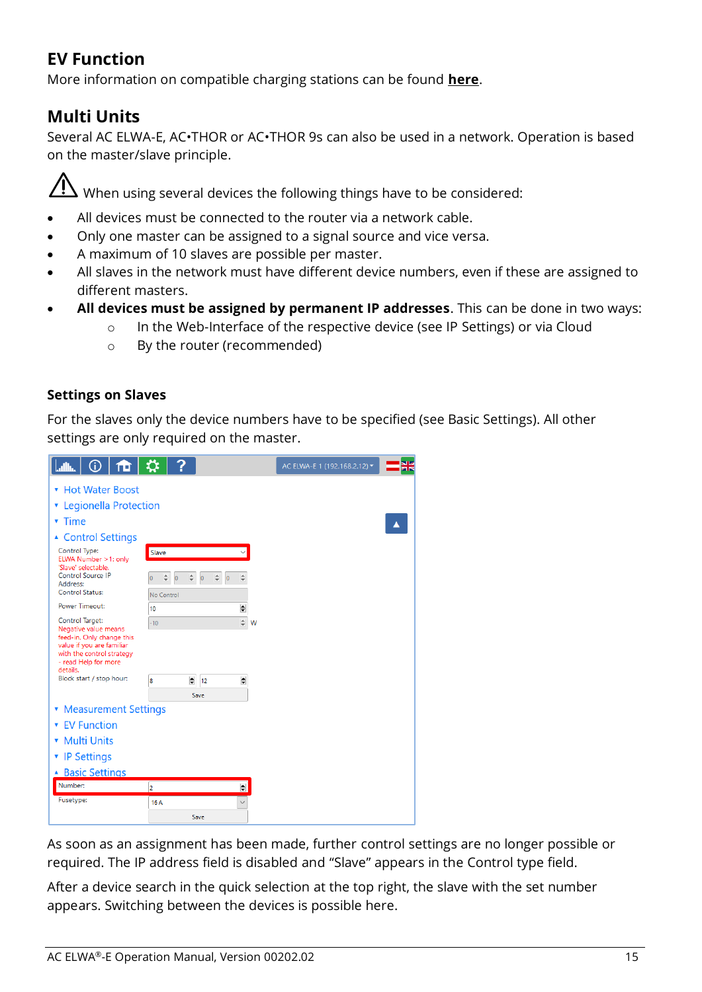# <span id="page-14-0"></span>**EV Function**

More information on compatible charging stations can be found **[here](https://www.my-pv.com/en/info/compatible-manufacturers)**.

## <span id="page-14-1"></span>**Multi Units**

Several AC ELWA-E, AC•THOR or AC•THOR 9s can also be used in a network. Operation is based on the master/slave principle.

 $\overline{\mathcal{A}}$  When using several devices the following things have to be considered:

- All devices must be connected to the router via a network cable.
- Only one master can be assigned to a signal source and vice versa.
- A maximum of 10 slaves are possible per master.
- All slaves in the network must have different device numbers, even if these are assigned to different masters.
- **All devices must be assigned by permanent IP addresses**. This can be done in two ways:
	- o In the Web-Interface of the respective device (see IP Settings) or via Cloud
	- o By the router (recommended)

#### **Settings on Slaves**

For the slaves only the device numbers have to be specified (see Basic Settings). All other settings are only required on the master.

| $\boxed{\text{min} \hspace{0.2cm} \text{of} \hspace{0.1cm} \text{of} \hspace{0.1cm} \text{of} \hspace{0.1cm} \text{or} \hspace{0.1cm} \text{or} \hspace{0.1cm} \text{?}}$ |                   |               | AC ELWA-E 1 (192.168.2.12) - |  |
|---------------------------------------------------------------------------------------------------------------------------------------------------------------------------|-------------------|---------------|------------------------------|--|
| * Hot Water Boost                                                                                                                                                         |                   |               |                              |  |
| <b>v</b> Legionella Protection                                                                                                                                            |                   |               |                              |  |
| $\overline{\mathbf{r}}$ Time                                                                                                                                              |                   |               |                              |  |
| ▲ Control Settings                                                                                                                                                        |                   |               |                              |  |
| Control Type:<br>ELWA Number > 1: only                                                                                                                                    | Slave             |               |                              |  |
| 'Slave' selectable.<br>Control Source IP<br>Address:                                                                                                                      | $\overline{0}$    |               |                              |  |
| Control Status:                                                                                                                                                           | No Control        |               |                              |  |
| <b>Power Timeout:</b>                                                                                                                                                     | 10                | ÷             |                              |  |
| Control Target:<br>Negative value means<br>feed-in. Only change this<br>value if you are familiar<br>with the control strategy<br>- read Help for more<br>details.        | $-10$             | $\div$ W      |                              |  |
| Block start / stop hour:                                                                                                                                                  | $\div$<br>12<br>8 | $\Rightarrow$ |                              |  |
|                                                                                                                                                                           | Save              |               |                              |  |
| • Measurement Settings                                                                                                                                                    |                   |               |                              |  |
| <b>v</b> FV Function                                                                                                                                                      |                   |               |                              |  |
| • Multi Units                                                                                                                                                             |                   |               |                              |  |
| ▼ IP Settings                                                                                                                                                             |                   |               |                              |  |
| ▲ Basic Settings                                                                                                                                                          |                   |               |                              |  |
| Number:                                                                                                                                                                   | $\overline{2}$    | $\div$        |                              |  |
| Fusetype:                                                                                                                                                                 | 16 A              |               |                              |  |
|                                                                                                                                                                           | Save              |               |                              |  |

As soon as an assignment has been made, further control settings are no longer possible or required. The IP address field is disabled and "Slave" appears in the Control type field.

After a device search in the quick selection at the top right, the slave with the set number appears. Switching between the devices is possible here.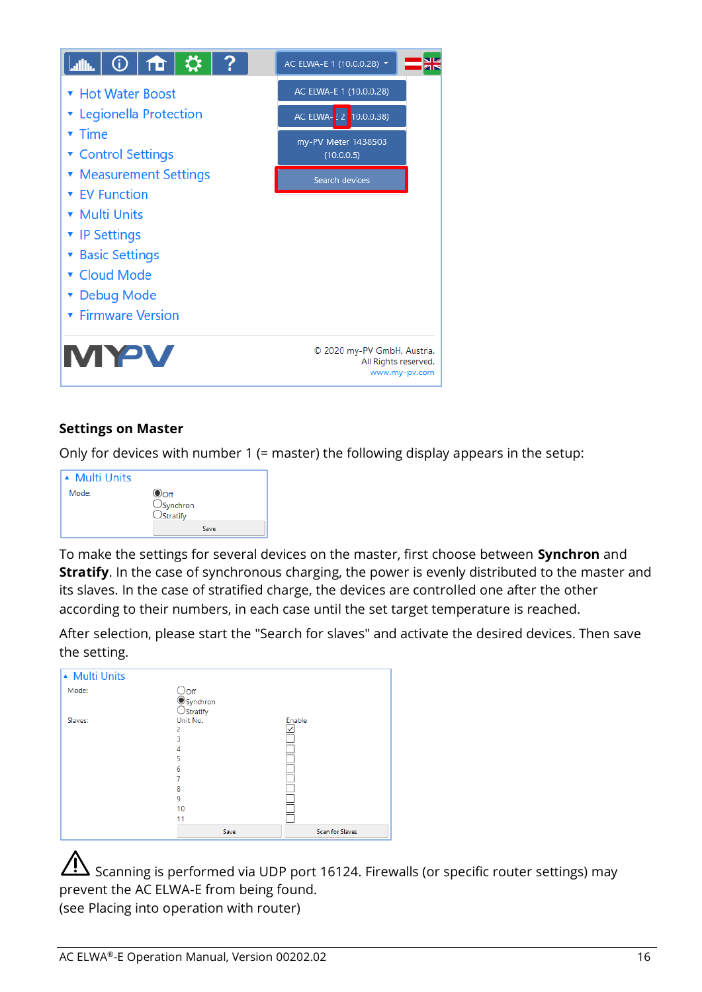

#### **Settings on Master**

Only for devices with number 1 (= master) the following display appears in the setup:



To make the settings for several devices on the master, first choose between **Synchron** and **Stratify**. In the case of synchronous charging, the power is evenly distributed to the master and its slaves. In the case of stratified charge, the devices are controlled one after the other according to their numbers, in each case until the set target temperature is reached.

After selection, please start the "Search for slaves" and activate the desired devices. Then save the setting.

| ▲ Multi Units |                                                                           |                        |
|---------------|---------------------------------------------------------------------------|------------------------|
| Mode:         | ○Off<br>●Synchron<br>○Stratify                                            |                        |
| Slaves:       | Unit No.<br>$\overline{2}$<br>3<br>4<br>5<br>6<br>7<br>8<br>9<br>10<br>11 | Enable<br>ū            |
|               | Save                                                                      | <b>Scan for Slaves</b> |

Scanning is performed via UDP port 16124. Firewalls (or specific router settings) may prevent the AC ELWA-E from being found. (see Placing into operation with router)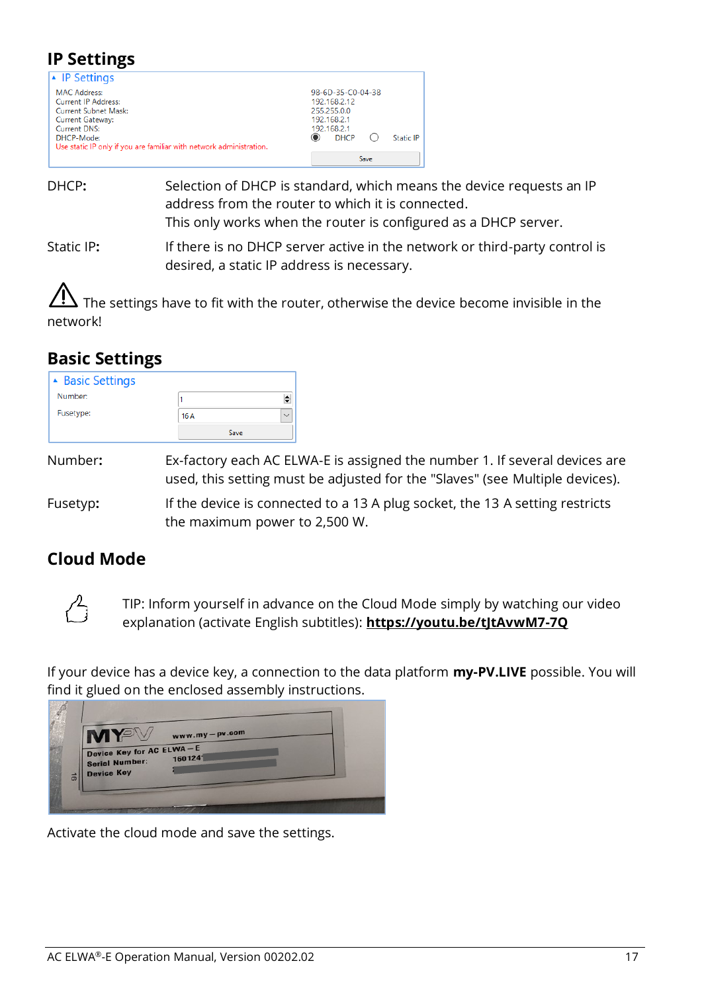### <span id="page-16-0"></span>**IP Settings**

| $\blacktriangle$ IP Settings                                        |                   |
|---------------------------------------------------------------------|-------------------|
| <b>MAC Address:</b>                                                 | 98-6D-35-C0-04-38 |
| <b>Current IP Address:</b>                                          | 192.168.2.12      |
| Current Subnet Mask:                                                | 255,255,0.0       |
| Current Gateway:                                                    | 192.168.2.1       |
| <b>Current DNS:</b>                                                 | 192.168.2.1       |
| DHCP-Mode:                                                          | <b>DHCP</b>       |
| Use static IP only if you are familiar with network administration. | <b>Static IP</b>  |
|                                                                     | Save              |

- DHCP**:** Selection of DHCP is standard, which means the device requests an IP address from the router to which it is connected. This only works when the router is configured as a DHCP server.
- Static IP**:** If there is no DHCP server active in the network or third-party control is desired, a static IP address is necessary.

The settings have to fit with the router, otherwise the device become invisible in the network!

### <span id="page-16-1"></span>**Basic Settings**

| <b>A</b> Basic Settings |      |              |
|-------------------------|------|--------------|
| Number:                 |      |              |
| Fusetype:               | 16 A | $\checkmark$ |
|                         | Save |              |

Number**:** Ex-factory each AC ELWA-E is assigned the number 1. If several devices are used, this setting must be adjusted for the "Slaves" (see Multiple devices).

Fusetyp**:** If the device is connected to a 13 A plug socket, the 13 A setting restricts the maximum power to 2,500 W.

## <span id="page-16-2"></span>**Cloud Mode**



TIP: Inform yourself in advance on the Cloud Mode simply by watching our video explanation (activate English subtitles): **<https://youtu.be/tJtAvwM7-7Q>**

If your device has a device key, a connection to the data platform **my-PV.LIVE** possible. You will find it glued on the enclosed assembly instructions.



Activate the cloud mode and save the settings.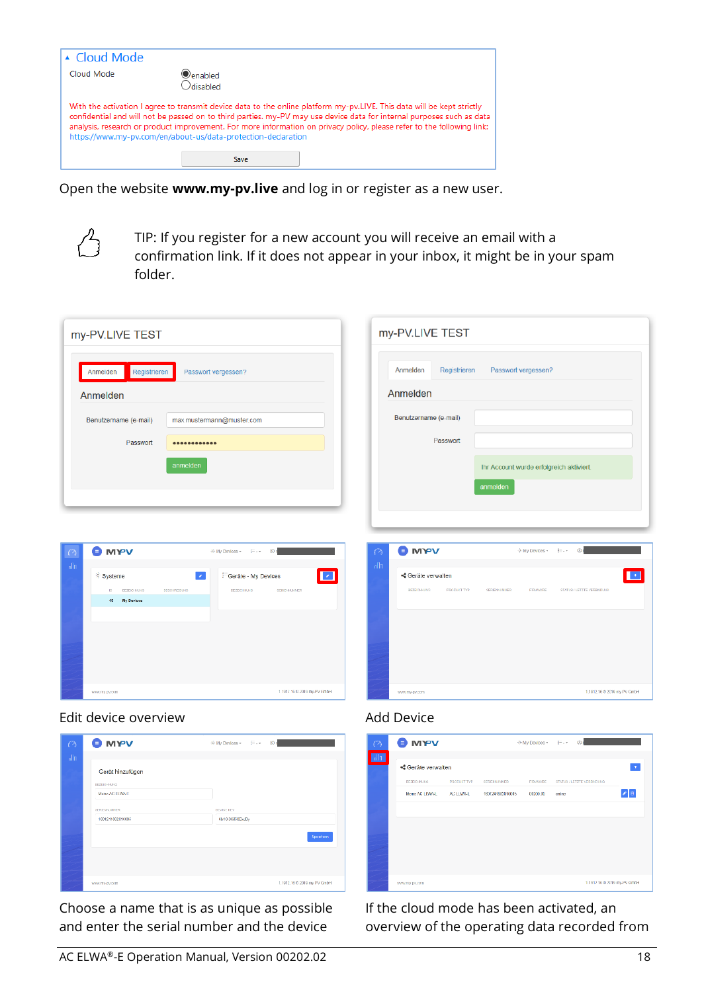| $\triangle$ Cloud Mode |                                                                                                                                                                                                                                                                                                                                                                                                                                            |
|------------------------|--------------------------------------------------------------------------------------------------------------------------------------------------------------------------------------------------------------------------------------------------------------------------------------------------------------------------------------------------------------------------------------------------------------------------------------------|
| Cloud Mode             | Oenabled<br>Odisabled                                                                                                                                                                                                                                                                                                                                                                                                                      |
|                        | With the activation I agree to transmit device data to the online platform my-pv.LIVE. This data will be kept strictly<br>confidential and will not be passed on to third parties. my-PV may use device data for internal purposes such as data<br>analysis, research or product improvement. For more information on privacy policy, please refer to the following link:<br>https://www.my-pv.com/en/about-us/data-protection-declaration |
|                        | Save                                                                                                                                                                                                                                                                                                                                                                                                                                       |

Open the website **www.my-pv.live** and log in or register as a new user.



TIP: If you register for a new account you will receive an email with a confirmation link. If it does not appear in your inbox, it might be in your spam folder.

| my-PV.LIVE TEST                                                                                                                                                                                                                                                                 | my-PV.LIVE TEST                                                                                                                                                                                                                   |
|---------------------------------------------------------------------------------------------------------------------------------------------------------------------------------------------------------------------------------------------------------------------------------|-----------------------------------------------------------------------------------------------------------------------------------------------------------------------------------------------------------------------------------|
| Passwort vergessen?<br>Anmelden<br>Registrieren                                                                                                                                                                                                                                 | Registrieren<br>Passwort vergessen?<br>Anmelden                                                                                                                                                                                   |
| Anmelden                                                                                                                                                                                                                                                                        | Anmelden                                                                                                                                                                                                                          |
| max.mustermann@muster.com<br>Benutzername (e-mail)                                                                                                                                                                                                                              | Benutzername (e-mail)                                                                                                                                                                                                             |
| Passwort                                                                                                                                                                                                                                                                        | Passwort                                                                                                                                                                                                                          |
| anmelden                                                                                                                                                                                                                                                                        | Ihr Account wurde erfolgreich aktiviert.                                                                                                                                                                                          |
|                                                                                                                                                                                                                                                                                 | anmelden                                                                                                                                                                                                                          |
| <b>O</b> MYV<br>+ My Devloes + E - +<br>@n<br>$\bigcap$<br>$n \ln$<br>n<br><sup>5</sup> Systeme<br>$\mathcal{L}_{\mathcal{A}}$<br><sup>5</sup> Geräte - My Devices<br><b>BEZEIG PANS</b><br><b>BESCHROBUKS</b><br><b>DEZENDINATION</b><br>SCRIDERIMOR<br>D.<br>My Devices<br>15 | <b>O</b> MYV<br>4 My Dovtos -<br>$\mathbb{R}$<br>$\circ$<br>$\mathfrak{g}[\mathfrak{g}]$<br><ceräte verwalten<br="">BEZECHNURG<br/><b>FRODUKT TYP</b><br/>ETATUS / LETZTE VERBRIDUNG<br/><b>GENERALMINER</b><br/>FRIANNE</ceräte> |
| 11912 16 0 2019 my-PV GmbH<br>www.my.pv.com                                                                                                                                                                                                                                     | 1.1912.16  2019 my PV CerbH<br>www.my.gv.com                                                                                                                                                                                      |
| Edit device overview                                                                                                                                                                                                                                                            | <b>Add Device</b>                                                                                                                                                                                                                 |
| <b>O</b> MYV<br>※My Devices - E- - © r<br>€                                                                                                                                                                                                                                     | <b>O</b> MYV<br>$\otimes$<br>® My Devices - E - -                                                                                                                                                                                 |
| $n \ln$<br>Gerät hinzufügen                                                                                                                                                                                                                                                     | ollo<br><ceräte th="" verwalten<=""></ceräte>                                                                                                                                                                                     |



Choose a name that is as unique as possible and enter the serial number and the device

| <ceräte verwalten<br="">DEZEIGI PAINO</ceräte> |               |                    |                 |                            |                             |
|------------------------------------------------|---------------|--------------------|-----------------|----------------------------|-----------------------------|
|                                                |               |                    |                 |                            | ٠                           |
|                                                | PRODUCT TYP   | <b>GERENNUMMER</b> | <b>FRANKIPE</b> | GEATUS / LETZTE VERBINENNO |                             |
| Mone AC LLWAL                                  | AC LUMAL      |                    | 03200.00        | online                     | 2 <sub>8</sub>              |
|                                                |               |                    |                 |                            |                             |
|                                                |               |                    |                 |                            |                             |
|                                                |               |                    |                 |                            |                             |
|                                                |               |                    |                 |                            |                             |
|                                                |               |                    |                 |                            |                             |
|                                                |               |                    |                 |                            | 1 1912 16 D 2019 my-PV GmbH |
|                                                | www.my.pv.com |                    |                 | 1801241802010005           |                             |

If the cloud mode has been activated, an overview of the operating data recorded from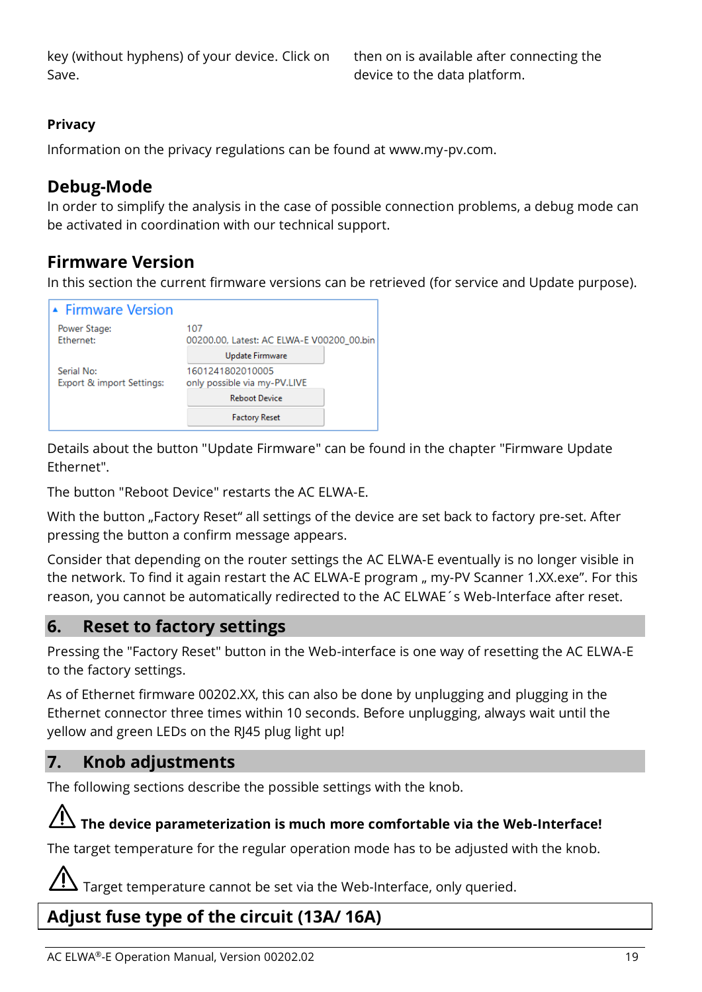key (without hyphens) of your device. Click on Save.

then on is available after connecting the device to the data platform.

#### **Privacy**

Information on the privacy regulations can be found at www.my-pv.com.

#### <span id="page-18-0"></span>**Debug-Mode**

In order to simplify the analysis in the case of possible connection problems, a debug mode can be activated in coordination with our technical support.

## <span id="page-18-1"></span>**Firmware Version**

In this section the current firmware versions can be retrieved (for service and Update purpose).



Details about the button "Update Firmware" can be found in the chapter "Firmware Update Ethernet".

The button "Reboot Device" restarts the AC ELWA-E.

With the button "Factory Reset" all settings of the device are set back to factory pre-set. After pressing the button a confirm message appears.

Consider that depending on the router settings the AC ELWA-E eventually is no longer visible in the network. To find it again restart the AC ELWA-E program " my-PV Scanner 1.XX.exe". For this reason, you cannot be automatically redirected to the AC ELWAE´s Web-Interface after reset.

#### <span id="page-18-2"></span>**6. Reset to factory settings**

Pressing the "Factory Reset" button in the Web-interface is one way of resetting the AC ELWA-E to the factory settings.

As of Ethernet firmware 00202.XX, this can also be done by unplugging and plugging in the Ethernet connector three times within 10 seconds. Before unplugging, always wait until the yellow and green LEDs on the RJ45 plug light up!

#### <span id="page-18-3"></span>**7. Knob adjustments**

The following sections describe the possible settings with the knob.

#### **The device parameterization is much more comfortable via the Web-Interface!**

The target temperature for the regular operation mode has to be adjusted with the knob.

Target temperature cannot be set via the Web-Interface, only queried.

## <span id="page-18-4"></span>**Adjust fuse type of the circuit (13A/ 16A)**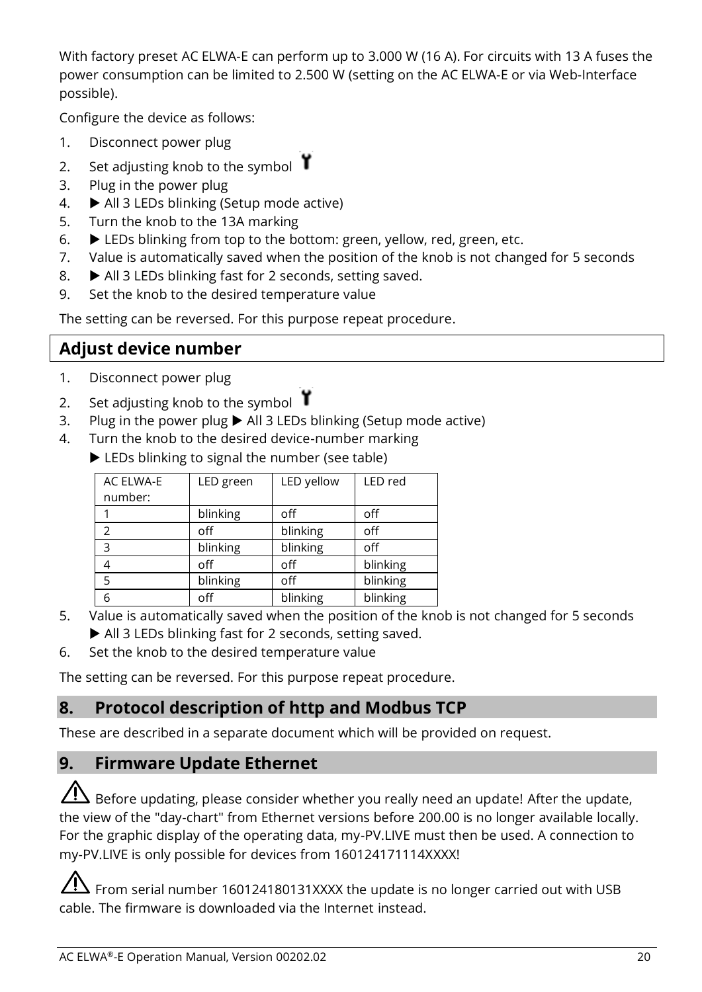With factory preset AC ELWA-E can perform up to 3.000 W (16 A). For circuits with 13 A fuses the power consumption can be limited to 2.500 W (setting on the AC ELWA-E or via Web-Interface possible).

Configure the device as follows:

- 1. Disconnect power plug
- 2. Set adjusting knob to the symbol  $\mathbf{\hat{Y}}$
- 3. Plug in the power plug
- 4.  $\blacktriangleright$  All 3 LEDs blinking (Setup mode active)
- 5. Turn the knob to the 13A marking
- 6. LEDs blinking from top to the bottom: green, yellow, red, green, etc.
- 7. Value is automatically saved when the position of the knob is not changed for 5 seconds
- 8.  $\blacktriangleright$  All 3 LEDs blinking fast for 2 seconds, setting saved.
- 9. Set the knob to the desired temperature value

The setting can be reversed. For this purpose repeat procedure.

# <span id="page-19-0"></span>**Adjust device number**

- 1. Disconnect power plug
- 2. Set adjusting knob to the symbol  $\mathbf{\hat{Y}}$
- 3. Plug in the power plug  $\blacktriangleright$  All 3 LEDs blinking (Setup mode active)
- 4. Turn the knob to the desired device-number marking
	- EDs blinking to signal the number (see table)

| AC ELWA-E    | LED green | LED yellow | LED red  |
|--------------|-----------|------------|----------|
| number:      |           |            |          |
|              | blinking  | off        | off      |
| っ            | off       | blinking   | off      |
| $\mathbf{R}$ | blinking  | blinking   | off      |
|              | off       | off        | blinking |
| 5            | blinking  | off        | blinking |
| 6            | off       | blinking   | blinking |

- 5. Value is automatically saved when the position of the knob is not changed for 5 seconds All 3 LEDs blinking fast for 2 seconds, setting saved.
- 6. Set the knob to the desired temperature value

The setting can be reversed. For this purpose repeat procedure.

# <span id="page-19-1"></span>**8. Protocol description of http and Modbus TCP**

These are described in a separate document which will be provided on request.

## <span id="page-19-2"></span>**9. Firmware Update Ethernet**

 $\Delta$  Before updating, please consider whether you really need an update! After the update, the view of the "day-chart" from Ethernet versions before 200.00 is no longer available locally. For the graphic display of the operating data, my-PV.LIVE must then be used. A connection to my-PV.LIVE is only possible for devices from 160124171114XXXX!

 $\Delta$  From serial number 160124180131XXXX the update is no longer carried out with USB cable. The firmware is downloaded via the Internet instead.